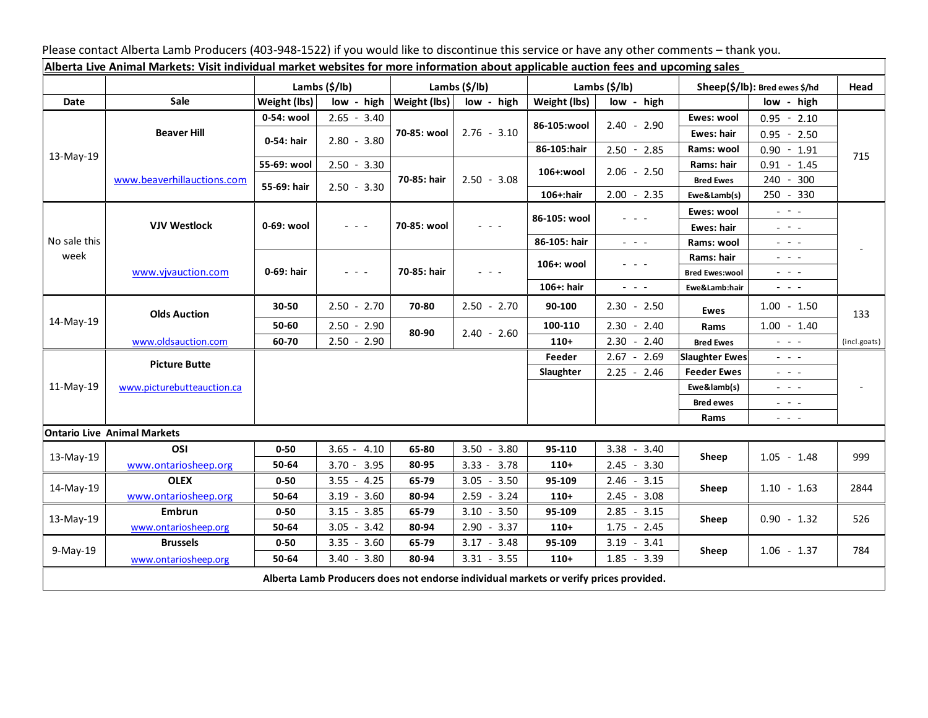Please contact Alberta Lamb Producers (403-948-1522) if you would like to discontinue this service or have any other comments – thank you.

| Alberta Live Animal Markets: Visit individual market websites for more information about applicable auction fees and upcoming sales |                                    |                           |               |                           |                                                                                                                           |                           |                                             |                               |                                                                                                                                                                                                                                                                                                                                                                                                                                                |              |
|-------------------------------------------------------------------------------------------------------------------------------------|------------------------------------|---------------------------|---------------|---------------------------|---------------------------------------------------------------------------------------------------------------------------|---------------------------|---------------------------------------------|-------------------------------|------------------------------------------------------------------------------------------------------------------------------------------------------------------------------------------------------------------------------------------------------------------------------------------------------------------------------------------------------------------------------------------------------------------------------------------------|--------------|
|                                                                                                                                     |                                    | Lambs $(\frac{2}{3})$ lb) |               | Lambs $(\frac{2}{3})$ lb) |                                                                                                                           | Lambs $(\frac{2}{3})$ lb) |                                             | Sheep(\$/lb): Bred ewes \$/hd |                                                                                                                                                                                                                                                                                                                                                                                                                                                | Head         |
| Date                                                                                                                                | Sale                               | Weight (lbs)              | low - high    | Weight (lbs)              | low - high                                                                                                                | Weight (lbs)              | low - high                                  |                               | low - high                                                                                                                                                                                                                                                                                                                                                                                                                                     |              |
| 13-May-19                                                                                                                           | <b>Beaver Hill</b>                 | 0-54: wool                | $2.65 - 3.40$ | 70-85: wool               | $2.76 - 3.10$                                                                                                             | 86-105:wool               | $2.40 - 2.90$                               | Ewes: wool                    | $0.95 - 2.10$                                                                                                                                                                                                                                                                                                                                                                                                                                  | 715          |
|                                                                                                                                     |                                    | 0-54: hair                | $2.80 - 3.80$ |                           |                                                                                                                           |                           |                                             | Ewes: hair                    | $0.95 - 2.50$                                                                                                                                                                                                                                                                                                                                                                                                                                  |              |
|                                                                                                                                     |                                    |                           |               |                           |                                                                                                                           | 86-105:hair               | $2.50 - 2.85$                               | Rams: wool                    | $0.90 - 1.91$                                                                                                                                                                                                                                                                                                                                                                                                                                  |              |
|                                                                                                                                     | www.beaverhillauctions.com         | 55-69: wool               | $2.50 - 3.30$ | 70-85: hair               | $2.50 - 3.08$                                                                                                             | 106+:wool                 | $2.06 - 2.50$                               | Rams: hair                    | $0.91 - 1.45$                                                                                                                                                                                                                                                                                                                                                                                                                                  |              |
|                                                                                                                                     |                                    | 55-69: hair               | $2.50 - 3.30$ |                           |                                                                                                                           |                           |                                             | <b>Bred Ewes</b>              | 240 - 300                                                                                                                                                                                                                                                                                                                                                                                                                                      |              |
|                                                                                                                                     |                                    |                           |               |                           |                                                                                                                           | 106+:hair                 | $2.00 - 2.35$                               | Ewe&Lamb(s)                   | 250 - 330                                                                                                                                                                                                                                                                                                                                                                                                                                      |              |
| No sale this<br>week                                                                                                                | <b>VJV Westlock</b>                | 0-69: wool                | $ -$          | 70-85: wool               | $\frac{1}{2} \left( \frac{1}{2} \right) \left( \frac{1}{2} \right) \left( \frac{1}{2} \right) \left( \frac{1}{2} \right)$ | 86-105: wool              |                                             | Ewes: wool                    | $\omega_{\rm{eff}}=0.1$                                                                                                                                                                                                                                                                                                                                                                                                                        |              |
|                                                                                                                                     |                                    |                           |               |                           |                                                                                                                           |                           |                                             | <b>Ewes: hair</b>             | $\omega_{\rm{eff}}=0.1$                                                                                                                                                                                                                                                                                                                                                                                                                        |              |
|                                                                                                                                     |                                    |                           |               |                           |                                                                                                                           | 86-105: hair              | $\omega_{\rm{eff}}$ and $\omega_{\rm{eff}}$ | Rams: wool                    | $\frac{1}{2} \left( \frac{1}{2} \right) = \frac{1}{2} \left( \frac{1}{2} \right) = \frac{1}{2}$                                                                                                                                                                                                                                                                                                                                                |              |
|                                                                                                                                     | www.vivauction.com                 | 0-69: hair                | $  -$         | 70-85: hair               | $\omega_{\rm{eff}}$ and $\omega_{\rm{eff}}$                                                                               | 106+: wool                | - - -                                       | Rams: hair                    | $\frac{1}{2} \left( \frac{1}{2} \right) \left( \frac{1}{2} \right) \left( \frac{1}{2} \right) \left( \frac{1}{2} \right)$                                                                                                                                                                                                                                                                                                                      |              |
|                                                                                                                                     |                                    |                           |               |                           |                                                                                                                           |                           |                                             | <b>Bred Ewes:wool</b>         | $\frac{1}{2} \left( \frac{1}{2} \right) = \frac{1}{2} \left( \frac{1}{2} \right) = \frac{1}{2}$                                                                                                                                                                                                                                                                                                                                                |              |
|                                                                                                                                     |                                    |                           |               |                           |                                                                                                                           | 106+: hair                | $\sim$ 10 $\sim$                            | Ewe&Lamb:hair                 | $\sim$ $\sim$ $\sim$                                                                                                                                                                                                                                                                                                                                                                                                                           |              |
| 14-May-19                                                                                                                           | <b>Olds Auction</b>                | 30-50                     | $2.50 - 2.70$ | 70-80                     | $2.50 - 2.70$                                                                                                             | 90-100                    | $2.30 - 2.50$                               | Ewes                          | $1.00 - 1.50$                                                                                                                                                                                                                                                                                                                                                                                                                                  | 133          |
|                                                                                                                                     |                                    | 50-60                     | $2.50 - 2.90$ | 80-90                     | $2.40 - 2.60$                                                                                                             | 100-110                   | $2.30 - 2.40$                               | Rams                          | $1.00 - 1.40$                                                                                                                                                                                                                                                                                                                                                                                                                                  |              |
|                                                                                                                                     | www.oldsauction.com                | 60-70                     | $2.50 - 2.90$ |                           |                                                                                                                           | $110+$                    | $2.30 - 2.40$                               | <b>Bred Ewes</b>              | $\mathbb{Z}^2$ and $\mathbb{Z}^2$                                                                                                                                                                                                                                                                                                                                                                                                              | (incl.goats) |
| 11-May-19                                                                                                                           | <b>Picture Butte</b>               |                           |               |                           |                                                                                                                           | Feeder                    | $2.67 - 2.69$                               | <b>Slaughter Ewes</b>         | - - -                                                                                                                                                                                                                                                                                                                                                                                                                                          |              |
|                                                                                                                                     | www.picturebutteauction.ca         |                           |               |                           |                                                                                                                           | Slaughter                 | $2.25 - 2.46$                               | <b>Feeder Ewes</b>            | $\frac{1}{2} \left( \frac{1}{2} \right) = \frac{1}{2} \left( \frac{1}{2} \right)$                                                                                                                                                                                                                                                                                                                                                              |              |
|                                                                                                                                     |                                    |                           |               |                           |                                                                                                                           |                           |                                             | Ewe&lamb(s)                   | $\frac{1}{2} \left( \frac{1}{2} \right) = \frac{1}{2} \left( \frac{1}{2} \right)$                                                                                                                                                                                                                                                                                                                                                              |              |
|                                                                                                                                     |                                    |                           |               |                           |                                                                                                                           |                           |                                             | <b>Bred ewes</b>              | $\frac{1}{2} \left( \frac{1}{2} \right) = \frac{1}{2} \left( \frac{1}{2} \right)$                                                                                                                                                                                                                                                                                                                                                              |              |
|                                                                                                                                     |                                    |                           |               |                           |                                                                                                                           |                           |                                             | Rams                          | $\frac{1}{2} \left( \frac{1}{2} \right) \frac{1}{2} \left( \frac{1}{2} \right) \frac{1}{2} \left( \frac{1}{2} \right) \frac{1}{2} \left( \frac{1}{2} \right) \frac{1}{2} \left( \frac{1}{2} \right) \frac{1}{2} \left( \frac{1}{2} \right) \frac{1}{2} \left( \frac{1}{2} \right) \frac{1}{2} \left( \frac{1}{2} \right) \frac{1}{2} \left( \frac{1}{2} \right) \frac{1}{2} \left( \frac{1}{2} \right) \frac{1}{2} \left( \frac{1}{2} \right)$ |              |
|                                                                                                                                     | <b>Ontario Live Animal Markets</b> |                           |               |                           |                                                                                                                           |                           |                                             |                               |                                                                                                                                                                                                                                                                                                                                                                                                                                                |              |
| 13-May-19                                                                                                                           | OSI                                | $0 - 50$                  | $3.65 - 4.10$ | 65-80                     | $3.50 - 3.80$                                                                                                             | 95-110                    | $3.38 - 3.40$                               | Sheep                         | $1.05 - 1.48$                                                                                                                                                                                                                                                                                                                                                                                                                                  | 999          |
|                                                                                                                                     | www.ontariosheep.org               | 50-64                     | $3.70 - 3.95$ | 80-95                     | $3.33 - 3.78$                                                                                                             | $110+$                    | $2.45 - 3.30$                               |                               |                                                                                                                                                                                                                                                                                                                                                                                                                                                |              |
| 14-May-19                                                                                                                           | <b>OLEX</b>                        | $0 - 50$                  | $3.55 - 4.25$ | 65-79                     | $-3.50$<br>3.05                                                                                                           | 95-109                    | $2.46 - 3.15$                               | Sheep                         | $1.10 - 1.63$                                                                                                                                                                                                                                                                                                                                                                                                                                  | 2844         |
|                                                                                                                                     | www.ontariosheep.org               | 50-64                     | $3.19 - 3.60$ | 80-94                     | $2.59 - 3.24$                                                                                                             | $110+$                    | $2.45 - 3.08$                               |                               |                                                                                                                                                                                                                                                                                                                                                                                                                                                |              |
| 13-May-19                                                                                                                           | Embrun                             | $0 - 50$                  | $3.15 - 3.85$ | 65-79                     | $3.10 - 3.50$                                                                                                             | 95-109                    | $2.85 - 3.15$                               | Sheep                         | $0.90 - 1.32$                                                                                                                                                                                                                                                                                                                                                                                                                                  | 526          |
|                                                                                                                                     | www.ontariosheep.org               | 50-64                     | $3.05 - 3.42$ | 80-94                     | $2.90 - 3.37$                                                                                                             | $110+$                    | $1.75 - 2.45$                               |                               |                                                                                                                                                                                                                                                                                                                                                                                                                                                |              |
| 9-May-19                                                                                                                            | <b>Brussels</b>                    | $0 - 50$                  | $3.35 - 3.60$ | 65-79                     | $3.17 - 3.48$                                                                                                             | 95-109                    | $3.19 - 3.41$                               | Sheep                         | $1.06 - 1.37$                                                                                                                                                                                                                                                                                                                                                                                                                                  | 784          |
|                                                                                                                                     | www.ontariosheep.org               | 50-64                     | $3.40 - 3.80$ | 80-94                     | $3.31 - 3.55$                                                                                                             | $110+$                    | $1.85 - 3.39$                               |                               |                                                                                                                                                                                                                                                                                                                                                                                                                                                |              |
| Alberta Lamb Producers does not endorse individual markets or verify prices provided.                                               |                                    |                           |               |                           |                                                                                                                           |                           |                                             |                               |                                                                                                                                                                                                                                                                                                                                                                                                                                                |              |